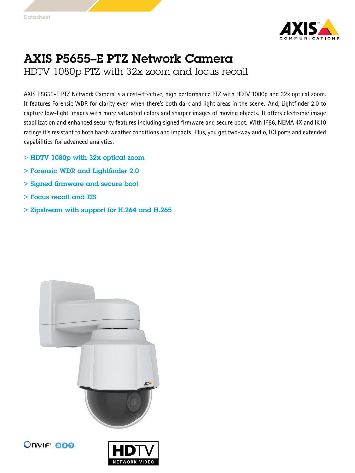

## AXIS P5655–E PTZ Network Camera HDTV 1080p PTZ with 32x zoom and focus recall

AXIS P5655-E PTZ Network Camera is <sup>a</sup> cost-effective, high performance PTZ with HDTV 1080p and 32x optical zoom. It features Forensic WDR for clarity even when there's both dark and light areas in the scene. And, Lightfinder 2.0 to capture low-light images with more saturated colors and sharper images of moving objects. It offers electronic image stabilization and enhanced security features including signed firmware and secure boot. With IP66, NEMA 4X and IK10 ratings it's resistant to both harsh weather conditions and impacts. Plus, you get two-way audio, I/O ports and extended capabilities for advanced analytics.

- > HDTV 1080p with 32x optical zoom
- > Forensic WDR and Lightfinder 2.0
- > Signed firmware and secure boot
- > Focus recall and EIS
- > Zipstream with support for H.264 and H.265





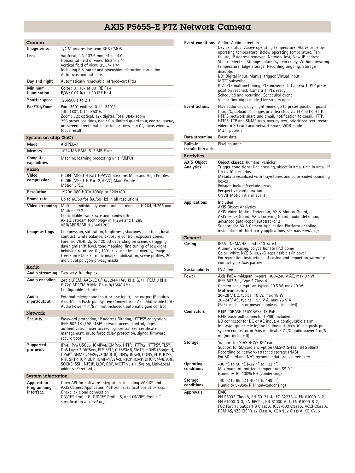## AXIS P5655–E PTZ Network Camera

| Camera                                  |                                                                                                                                                                                                                                                                                                                                                                                                                                     |
|-----------------------------------------|-------------------------------------------------------------------------------------------------------------------------------------------------------------------------------------------------------------------------------------------------------------------------------------------------------------------------------------------------------------------------------------------------------------------------------------|
| lmage sensor                            | 1/2.8" progressive scan RGB CMOS                                                                                                                                                                                                                                                                                                                                                                                                    |
| Lens                                    | Varifocal, 4.3-137.6 mm, F1.4 - 4.0<br>Horizontal field of view: 58.3° - 2.4°<br>Vertical field of view: 35.5°- 1.4°<br>Including EIS, barrel and pincushion distortion correction<br>Autofocus and auto-iris                                                                                                                                                                                                                       |
| Day and night                           | Automatically removable infrared-cut filter                                                                                                                                                                                                                                                                                                                                                                                         |
| Minimum<br>illumination                 | Color: 0.1 lux at 30 IRE F1.4<br>B/W: 0.01 lux at 30 IRE F1.4                                                                                                                                                                                                                                                                                                                                                                       |
| Shutter speed                           | 1/66500 s to 2 s                                                                                                                                                                                                                                                                                                                                                                                                                    |
| Pan/Tilt/Zoom                           | Pan: 360° endless, 0.1°- 350°/s<br>Tilt: 180°, 0.1°-350°/s<br>Zoom: 32x optical, 12x digital, Total 384x zoom<br>256 preset positions, nadir flip, limited guard tour, control queue,<br>on-screen directional indicator, set new pan 0°, focus window,<br>focus recall                                                                                                                                                             |
| System on chip (SoC)                    |                                                                                                                                                                                                                                                                                                                                                                                                                                     |
| Model                                   | ARTPEC-7                                                                                                                                                                                                                                                                                                                                                                                                                            |
| Memory                                  | 1024 MB RAM, 512 MB Flash                                                                                                                                                                                                                                                                                                                                                                                                           |
| Compute<br>capabilities                 | Machine learning processing unit (MLPU)                                                                                                                                                                                                                                                                                                                                                                                             |
| Video                                   |                                                                                                                                                                                                                                                                                                                                                                                                                                     |
| Video<br>compression                    | H.264 (MPEG-4 Part 10/AVC) Baseline, Main and High Profiles<br>H.265 (MPEG-H Part 2/HEVC) Main Profile<br><b>Motion JPEG</b>                                                                                                                                                                                                                                                                                                        |
| Resolution                              | 1920x1080 HDTV 1080p to 320x180                                                                                                                                                                                                                                                                                                                                                                                                     |
| Frame rate                              | Up to $60/50$ fps $(60/50$ Hz) in all resolutions                                                                                                                                                                                                                                                                                                                                                                                   |
| Video streaming                         | Multiple, individually configurable streams in H.264, H.265 and<br>Motion JPEG<br>Controllable frame rate and bandwidth<br>Axis Zipstream technology in H.264 and H.265<br>VBR/ABR/MBR H.264/H.265                                                                                                                                                                                                                                  |
| lmage settings                          | Compression, saturation, brightness, sharpness, contrast, local<br>contrast, white balance, exposure control, exposure zones,<br>Forensic WDR: Up to 120 dB depending on scene, defogging,<br>day/night shift level, tone mapping, fine tuning of low-light<br>behavior, rotation: 0°, 180°, text and image overlay, image<br>freeze on PTZ, electronic image stabilization, scene profiles, 20<br>individual polygon privacy masks |
| Audio                                   |                                                                                                                                                                                                                                                                                                                                                                                                                                     |
| Audio streaming                         | Two-way, full duplex                                                                                                                                                                                                                                                                                                                                                                                                                |
| Audio encoding                          | 24bit LPCM, AAC-LC 8/16/32/44.1/48 kHz, G.711 PCM 8 kHz,<br>G.726 ADPCM 8 kHz, Opus 8/16/48 kHz<br>Configurable bit rate                                                                                                                                                                                                                                                                                                            |
| Audio<br>input/output                   | External microphone input or line input, line output (Requires<br>Axis 10-pin Push-pull System Connector or Axis Multicable C I/O<br>Audio Power 1 m/5 m, not included), automatic gain control                                                                                                                                                                                                                                     |
| <b>Network</b>                          |                                                                                                                                                                                                                                                                                                                                                                                                                                     |
| Security                                | Password protection, IP address filtering, HTTPS <sup>a</sup> encryption,<br>IEEE 802.1X (EAP-TLS) <sup>a</sup> network access control, digest<br>authentication, user access log, centralized certificate<br>management, brute force delay protection, signed firmware,<br>secure boot                                                                                                                                             |
| Supported<br>protocols                  | IPv4, IPv6 USGv6, ICMPv4/ICMPv6, HTTP, HTTP/2, HTTPS <sup>a</sup> , TLS <sup>a</sup> ,<br>QoS Layer 3 DiffServ, FTP, SFTP, CIFS/SMB, SMTP, mDNS (Bonjour),<br>UPnP®, SNMP v1/v2c/v3 (MIB-II), DNS/DNSv6, DDNS, NTP, RTSP,<br>RTP, SRTP, TCP, UDP, IGMPv1/v2/v3, RTCP, ICMP, DHCPv4/v6, ARP,<br>SOCKS, SSH, NTCIP, LLDP, CDP, MQTT v3.1.1, Syslog, Link-Local<br>address (ZeroConf)                                                  |
| System integration                      |                                                                                                                                                                                                                                                                                                                                                                                                                                     |
| Application<br>Programming<br>Interface | Open API for software integration, including VAPIX <sup>®</sup> and<br>AXIS Camera Application Platform; specifications at axis.com<br>One-click cloud connection<br>ONVIF <sup>®</sup> Profile G, ONVIF® Profile S, and ONVIF® Profile T,<br>specification at onvif.org                                                                                                                                                            |

|                                 | Event conditions Audio: Audio detection<br>Device status: Above operating temperature, Above or below<br>operating temperature, Below operating temperature, Fan<br>failure, IP address removed, Network lost, New IP address,<br>Shock detected, Storage failure, System ready, Within operating<br>temperature, Edge storage, Recording ongoing, Storage<br>disruption<br>I/O: Digital input, Manual trigger, Virtual input<br>MQTT subscribe<br>PTZ: PTZ malfunctioning, PTZ movement: Camera 1, PTZ preset<br>position reached: Camera 1, PTZ ready<br>Scheduled and recurring: Scheduled event<br>Video: Day-night mode, Live stream open |
|---------------------------------|------------------------------------------------------------------------------------------------------------------------------------------------------------------------------------------------------------------------------------------------------------------------------------------------------------------------------------------------------------------------------------------------------------------------------------------------------------------------------------------------------------------------------------------------------------------------------------------------------------------------------------------------|
| <b>Event actions</b>            | Play audio clips, day-night mode, go to preset position, quard<br>tour, I/O, upload of images or video clips via FTP, SFTP, HTTP,<br>HTTPS, network share and email, notification to email, HTTP,<br>HTTPS, TCP and SNMP trap, overlay text, prioritized text, record<br>video to SD card and network share, WDR mode<br>MQTT publish                                                                                                                                                                                                                                                                                                          |
| Data streaming                  | Event data                                                                                                                                                                                                                                                                                                                                                                                                                                                                                                                                                                                                                                     |
| Built-in<br>installation aids   | Pixel counter                                                                                                                                                                                                                                                                                                                                                                                                                                                                                                                                                                                                                                  |
| Analytics                       |                                                                                                                                                                                                                                                                                                                                                                                                                                                                                                                                                                                                                                                |
| <b>AXIS Object</b><br>Analytics | Object classes: humans, vehicles<br>Trigger conditions: line crossing, object in area, time in area <sup>BETA</sup><br>Up to 10 scenarios<br>Metadata visualized with trajectories and color-coded bounding<br>boxes<br>Polygon include/exclude areas<br>Perspective configuration<br><b>ONVIF Motion Alarm event</b>                                                                                                                                                                                                                                                                                                                          |
| <b>Applications</b>             | Included<br><b>AXIS Object Analytics</b><br>AXIS Video Motion Detection, AXIS Motion Guard,<br>AXIS Fence Guard, AXIS Loitering Guard, audio detection,<br>advanced gatekeeper, autotracker 2<br>Support for AXIS Camera Application Platform enabling<br>installation of third-party applications, see axis.com/acap                                                                                                                                                                                                                                                                                                                          |
| General                         |                                                                                                                                                                                                                                                                                                                                                                                                                                                                                                                                                                                                                                                |
| Casing                          | IP66-, NEMA 4X- and IK10-rated<br>Aluminum casing, polycarbonate (PC) dome<br>Color: white NCS S 1002-B, repaintable skin cover<br>For repainting instructions of casing and impact on warranty,<br>contact your Axis partner.                                                                                                                                                                                                                                                                                                                                                                                                                 |
| Sustainability                  | PVC free                                                                                                                                                                                                                                                                                                                                                                                                                                                                                                                                                                                                                                       |
| Power                           | Axis PoE+ midspan 1-port: 100-240 V AC, max 37 W<br>IEEE 802.3at, Type 2 Class 4<br>Camera consumption: typical 10.5 W, max 19 W<br>Multiconnector:<br>20–28 V DC, typical 10 W, max 18 W<br>20–24 V AC, typical 15.5 V A, max 26 V A<br>(PoE+ midspan or power supply not included)                                                                                                                                                                                                                                                                                                                                                           |
| Connectors                      | RJ45 10BASE-T/100BASE-TX PoE<br>RJ45 push-pull connector (IP66) included<br>I/O connector for DC or AC input, 4 configurable alarm<br>Inputs/outputs: mic in/line in, line out (Axis 10-pin push-pull<br>system connector or Axis multicable C I/O audio power 1 m/5<br>m, (not included))                                                                                                                                                                                                                                                                                                                                                     |
| Storage                         | Support for SD/SDHC/SDXC card<br>Support for SD card encryption (AES-XTS-Plain64 256bit)<br>Recording to network-attached storage (NAS)<br>For SD card and NAS recommendations see axis.com                                                                                                                                                                                                                                                                                                                                                                                                                                                    |
| Operating<br>conditions         | -30 °C to 50 °C (-22 °F to 122 °F)<br>Maximum intermittent temperature 55 °C<br>Humidity 10-100% RH (condensing)                                                                                                                                                                                                                                                                                                                                                                                                                                                                                                                               |
| Storage<br>conditions           | -40 °C to 65 °C (-40 °F to 149 °F)<br>Humidity 5-95% RH (non-condensing)                                                                                                                                                                                                                                                                                                                                                                                                                                                                                                                                                                       |
| Approvals                       | EMC<br>EN 55032 Class A, EN 50121-4, IEC 62236-4, EN 61000-3-2,<br>EN 61000-3-3, EN 55024, EN 61000-6-1, EN 61000-6-2,<br>FCC Part 15 Subpart B Class A, ICES-003 Class A, VCCI Class A,<br>RCM AS/NZS CISPR 32 Class A, KC KN32 Class A, KC KN35                                                                                                                                                                                                                                                                                                                                                                                              |